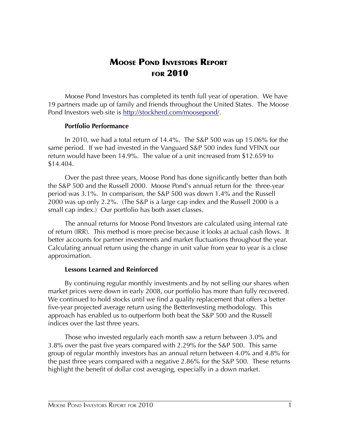# **MOOSE POND INVESTORS REPORT** FOR 2010

Moose Pond Investors has completed its tenth full year of operation. We have 19 partners made up of family and friends throughout the United States. The Moose Pond Investors web site is [http://stockherd.com/moosepond/.](http://stockherd.com/moosepond/)

#### **Portfolio Performance**

In 2010, we had a total return of 14.4%. The S&P 500 was up 15.06% for the same period. If we had invested in the Vanguard S&P 500 index fund VFINX our return would have been 14.9%. The value of a unit increased from \$12.659 to \$14.404.

Over the past three years, Moose Pond has done significantly better than both the S&P 500 and the Russell 2000. Moose Pond's annual return for the three-year period was 3.1%. In comparison, the S&P 500 was down 1.4% and the Russell 2000 was up only 2.2%. (The S&P is a large cap index and the Russell 2000 is a small cap index.) Our portfolio has both asset classes.

The annual returns for Moose Pond Investors are calculated using internal rate of return (IRR). This method is more precise because it looks at actual cash flows. It better accounts for partner investments and market fluctuations throughout the year. Calculating annual return using the change in unit value from year to year is a close approximation.

#### **Lessons Learned and Reinforced**

By continuing regular monthly investments and by not selling our shares when market prices were down in early 2008, our portfolio has more than fully recovered. We continued to hold stocks until we find a quality replacement that offers a better five-year projected average return using the BetterInvesting methodology. This approach has enabled us to outperform both beat the S&P 500 and the Russell indices over the last three years.

Those who invested regularly each month saw a return between 3.0% and 3.8% over the past five years compared with 2.29% for the S&P 500. This same group of regular monthly investors has an annual return between 4.0% and 4.8% for the past three years compared with a negative 2.86% for the S&P 500. These returns highlight the benefit of dollar cost averaging, especially in a down market.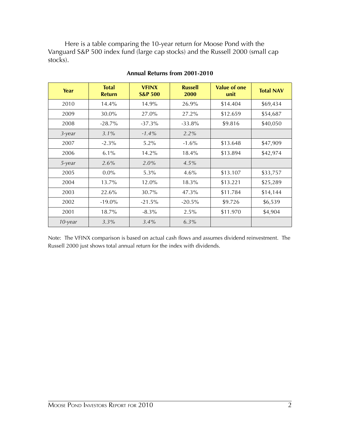Here is a table comparing the 10-year return for Moose Pond with the Vanguard S&P 500 index fund (large cap stocks) and the Russell 2000 (small cap stocks).

| Year      | <b>Total</b><br><b>Return</b> | <b>VFINX</b><br><b>S&amp;P 500</b> | <b>Russell</b><br>2000 | <b>Value of one</b><br>unit | <b>Total NAV</b> |
|-----------|-------------------------------|------------------------------------|------------------------|-----------------------------|------------------|
| 2010      | 14.4%                         | 14.9%                              | 26.9%                  | \$14.404                    | \$69,434         |
| 2009      | 30.0%                         | 27.0%                              | 27.2%                  | \$12.659                    | \$54,687         |
| 2008      | $-28.7\%$                     | $-37.3\%$                          | $-33.8%$               | \$9.816                     | \$40,050         |
| $3$ -year | $3.1\%$                       | $-1.4\%$                           | 2.2%                   |                             |                  |
| 2007      | $-2.3\%$                      | $5.2\%$                            | $-1.6\%$               | \$13.648                    | \$47,909         |
| 2006      | $6.1\%$                       | 14.2%                              | 18.4%                  | \$13.894                    | \$42,974         |
| 5-year    | $2.6\%$                       | $2.0\%$                            | $4.5\%$                |                             |                  |
| 2005      | $0.0\%$                       | $5.3\%$                            | 4.6%                   | \$13.107                    | \$33,757         |
| 2004      | 13.7%                         | 12.0%                              | 18.3%                  | \$13.221                    | \$25,289         |
| 2003      | 22.6%                         | 30.7%                              | 47.3%                  | \$11.784                    | \$14,144         |
| 2002      | $-19.0\%$                     | $-21.5%$                           | $-20.5%$               | \$9.726                     | \$6,539          |
| 2001      | 18.7%                         | $-8.3\%$                           | 2.5%                   | \$11.970                    | \$4,904          |
| 10-year   | 3.3%                          | $3.4\%$                            | 6.3%                   |                             |                  |

#### **Annual Returns from 2001-2010**

Note: The VFINX comparison is based on actual cash flows and assumes dividend reinvestment. The Russell 2000 just shows total annual return for the index with dividends.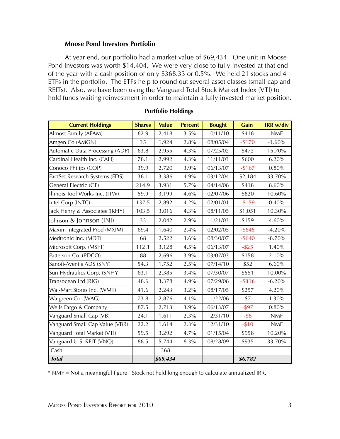#### **Moose Pond Investors Portfolio**

At year end, our portfolio had a market value of \$69,434. One unit in Moose Pond Investors was worth \$14.404. We were very close to fully invested at that end of the year with a cash position of only \$368.33 or 0.5%. We held 21 stocks and 4 ETFs in the portfolio. The ETFs help to round out several asset classes (small cap and REITs). Also, we have been using the Vanguard Total Stock Market Index (VTI) to hold funds waiting reinvestment in order to maintain a fully invested market position.

| <b>Current Holdings</b>         | <b>Shares</b> | <b>Value</b> | <b>Percent</b> | <b>Bought</b> | Gain      | IRR w/div  |
|---------------------------------|---------------|--------------|----------------|---------------|-----------|------------|
| Almost Family (AFAM)            | 62.9          | 2,418        | 3.5%           | 10/11/10      | \$418     | <b>NMF</b> |
| Amgen Co (AMGN)                 | 35            | 1,924        | 2.8%           | 08/05/04      | $-$170$   | $-1.60%$   |
| Automatic Data Processing (ADP) | 63.8          | 2,955        | 4.3%           | 07/25/02      | \$472     | 15.70%     |
| Cardinal Health Inc. (CAH)      | 78.1          | 2,992        | 4.3%           | 11/11/03      | \$600     | 6.20%      |
| Conoco Philips (COP)            | 39.9          | 2,720        | 3.9%           | 06/13/07      | $-$167$   | 0.80%      |
| FactSet Research Systems (FDS)  | 36.1          | 3,386        | 4.9%           | 03/12/04      | \$2,184   | 33.70%     |
| General Electric (GE)           | 214.9         | 3,931        | 5.7%           | 04/14/08      | \$418     | 8.60%      |
| Illinois Tool Works Inc. (ITW)  | 59.9          | 3,199        | 4.6%           | 02/07/06      | \$820     | 10.60%     |
| Intel Corp (INTC)               | 137.5         | 2,892        | 4.2%           | 02/01/01      | $-$159$   | 0.40%      |
| Jack Henry & Associates (JKHY)  | 103.5         | 3,016        | 4.3%           | 08/11/05      | \$1,051   | 10.30%     |
| Johnson & Johnson (JNJ)         | 33            | 2,042        | 2.9%           | 11/21/03      | \$159     | 4.60%      |
| Maxim Integrated Prod (MXIM)    | 69.4          | 1,640        | 2.4%           | 02/02/05      | $-$ \$645 | $-4.20%$   |
| Medtronic Inc. (MDT)            | 68            | 2,522        | 3.6%           | 08/30/07      | $-$ \$640 | $-8.70%$   |
| Microsoft Corp. (MSFT)          | 112.1         | 3,128        | 4.5%           | 06/13/07      | $-$ \$25  | 1.40%      |
| Patterson Co. (PDCO)            | 88            | 2,696        | 3.9%           | 03/07/03      | \$158     | 2.10%      |
| Sanofi-Aventis ADS (SNY)        | 54.3          | 1,752        | 2.5%           | 07/14/10      | \$52      | 6.60%      |
| Sun Hydraulics Corp. (SNHY)     | 63.1          | 2,385        | 3.4%           | 07/30/07      | \$551     | 10.00%     |
| Transocean Ltd (RIG)            | 48.6          | 3,378        | 4.9%           | 07/29/08      | $-$ \$316 | $-6.20%$   |
| Wal-Mart Stores Inc. (WMT)      | 41.6          | 2,243        | 3.2%           | 08/17/05      | \$257     | 4.20%      |
| Walgreen Co. (WAG)              | 73.8          | 2,876        | 4.1%           | 11/22/06      | \$7       | 1.30%      |
| Wells Fargo & Company           | 87.5          | 2,713        | 3.9%           | 06/13/07      | $-$ \$97  | 0.80%      |
| Vanguard Small Cap (VB)         | 24.1          | 1,611        | 2.3%           | 12/31/10      | $-$ \$8   | <b>NMF</b> |
| Vanguard Small Cap Value (VBR)  | 22.2          | 1,614        | 2.3%           | 12/31/10      | $-$ \$10  | <b>NMF</b> |
| Vanguard Total Market (VTI)     | 59.5          | 3,292        | 4.7%           | 01/15/04      | \$958     | 10.20%     |
| Vanguard U.S. REIT (VNQ)        | 88.5          | 5,744        | 8.3%           | 08/28/09      | \$935     | 33.70%     |
| Cash                            |               | 368          |                |               |           |            |
| <b>Total</b>                    |               | \$69,434     |                |               | \$6,782   |            |

#### **Portfolio Holdings**

\* NMF = Not a meaningful figure. Stock not held long enough to calculate annualized IRR.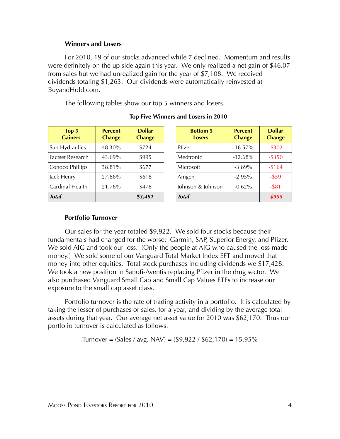#### **Winners and Losers**

For 2010, 19 of our stocks advanced while 7 declined. Momentum and results were definitely on the up side again this year. We only realized a net gain of \$46.07 from sales but we had unrealized gain for the year of \$7,108. We received dividends totaling \$1,263. Our dividends were automatically reinvested at BuyandHold.com.

The following tables show our top 5 winners and losers.

| Top 5<br><b>Gainers</b> | <b>Percent</b><br><b>Change</b> | <b>Dollar</b><br><b>Change</b> |
|-------------------------|---------------------------------|--------------------------------|
| Sun Hydraulics          | 48.30%                          | \$724                          |
| Factset Research        | 43.69%                          | \$995                          |
| Conoco Phillips         | 38.81%                          | \$677                          |
| Jack Henry              | 27.86%                          | \$618                          |
| Cardinal Health         | 21.76%                          | \$478                          |
| <b>Total</b>            |                                 | \$3,491                        |

**Top Five Winners and Losers in 2010**

| <b>Bottom 5</b><br><b>Losers</b> | <b>Percent</b><br><b>Change</b> | <b>Dollar</b><br><b>Change</b> |
|----------------------------------|---------------------------------|--------------------------------|
| Pfizer                           | $-16.57\%$                      | $-$ \$302                      |
| Medtronic                        | $-12.68\%$                      | $-$ \$350                      |
| Microsoft                        | $-3.89%$                        | $-$ \$164                      |
| Amgen                            | $-2.95%$                        | $-$ \$59                       |
| Johnson & Johnson                | $-0.62\%$                       | $-$ \$81                       |
| <b>Total</b>                     |                                 | -\$955                         |

#### **Portfolio Turnover**

Our sales for the year totaled \$9,922. We sold four stocks because their fundamentals had changed for the worse: Garmin, SAP, Superior Energy, and Pfizer. We sold AIG and took our loss. (Only the people at AIG who caused the loss made money.) We sold some of our Vanguard Total Market Index EFT and moved that money into other equities. Total stock purchases including dividends we \$17,428. We took a new position in Sanofi-Aventis replacing Pfizer in the drug sector. We also purchased Vanguard Small Cap and Small Cap Values ETFs to increase our exposure to the small cap asset class.

Portfolio turnover is the rate of trading activity in a portfolio. It is calculated by taking the lesser of purchases or sales, for a year, and dividing by the average total assets during that year. Our average net asset value for 2010 was \$62,170. Thus our portfolio turnover is calculated as follows:

Turnover =  $(Sales / avg. NAV) = (§9,922 / §62,170) = 15.95\%$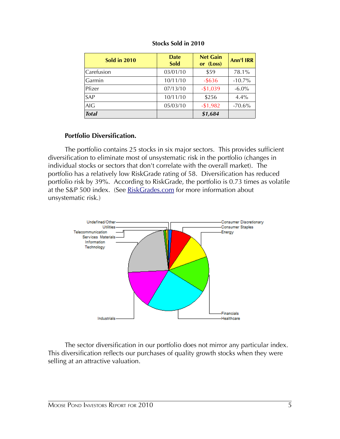| <b>Sold in 2010</b> | <b>Date</b><br><b>Sold</b> | <b>Net Gain</b><br>or (Loss) | <b>Ann'l IRR</b> |
|---------------------|----------------------------|------------------------------|------------------|
| Carefusion          | 03/01/10                   | \$59                         | 78.1%            |
| Garmin              | 10/11/10                   | $-$ \$636                    | $-10.7\%$        |
| Pfizer              | 07/13/10                   | $-$1,039$                    | $-6.0\%$         |
| <b>SAP</b>          | 10/11/10                   | \$256                        | 4.4%             |
| <b>AIG</b>          | 05/03/10                   | $-$1,982$                    | $-70.6%$         |
| <b>Total</b>        |                            | \$1,684                      |                  |

#### **Stocks Sold in 2010**

### **Portfolio Diversification.**

The portfolio contains 25 stocks in six major sectors. This provides sufficient diversification to eliminate most of unsystematic risk in the portfolio (changes in individual stocks or sectors that don't correlate with the overall market). The portfolio has a relatively low RiskGrade rating of 58. Diversification has reduced portfolio risk by 39%. According to RiskGrade, the portfolio is 0.73 times as volatile at the S&P 500 index. (See [RiskGrades.com](http://www.riskgrades.com/) for more information about unsystematic risk.)



The sector diversification in our portfolio does not mirror any particular index. This diversification reflects our purchases of quality growth stocks when they were selling at an attractive valuation.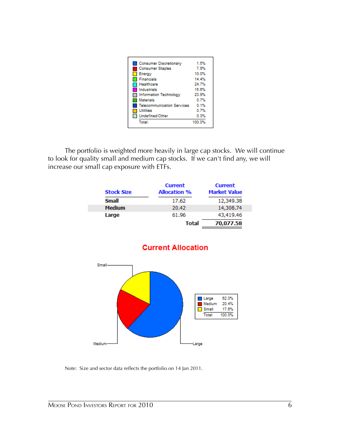| Consumer Discretionary                                | 1.5%          |
|-------------------------------------------------------|---------------|
| <b>Consumer Staples</b>                               | 7.9%<br>10.0% |
| <b>Energy</b><br>Financials                           | 14.4%         |
| Healthcare                                            | 24.7%         |
| Industrials                                           | 15.6%         |
| <b>Information Technology</b>                         | 23.9%         |
| Materials                                             | 0.7%          |
| <b>Telecommunication Services</b><br><b>Utilities</b> | 0.1%<br>0.7%  |
| Undefined/Other                                       | 0.3%          |
| <b>Total:</b>                                         | 100.0%        |

The portfolio is weighted more heavily in large cap stocks. We will continue to look for quality small and medium cap stocks. If we can't find any, we will increase our small cap exposure with ETFs.

| <b>Stock Size</b> | <b>Current</b><br><b>Allocation %</b> | <b>Current</b><br><b>Market Value</b> |
|-------------------|---------------------------------------|---------------------------------------|
| <b>Small</b>      | 17.62                                 | 12,349.38                             |
| <b>Medium</b>     | 20.42                                 | 14,308.74                             |
| Large             | 61.96                                 | 43,419.46                             |
|                   | Total                                 | 70.077.58                             |



Note: Size and sector data reflects the portfolio on 14 Jan 2011.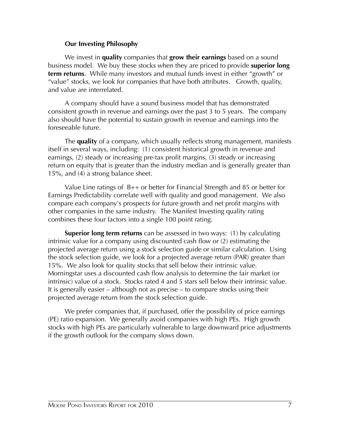#### **Our Investing Philosophy**

We invest in **quality** companies that **grow their earnings** based on a sound business model. We buy these stocks when they are priced to provide **superior long term returns**. While many investors and mutual funds invest in either "growth" or "value" stocks, we look for companies that have both attributes. Growth, quality, and value are interrelated.

A company should have a sound business model that has demonstrated consistent growth in revenue and earnings over the past 3 to 5 years. The company also should have the potential to sustain growth in revenue and earnings into the foreseeable future.

The **quality** of a company, which usually reflects strong management, manifests itself in several ways, including: (1) consistent historical growth in revenue and earnings, (2) steady or increasing pre-tax profit margins, (3) steady or increasing return on equity that is greater than the industry median and is generally greater than 15%, and (4) a strong balance sheet.

Value Line ratings of B++ or better for Financial Strength and 85 or better for Earnings Predictability correlate well with quality and good management. We also compare each company's prospects for future growth and net profit margins with other companies in the same industry. The Manifest Investing quality rating combines these four factors into a single 100 point rating.

**Superior long term returns** can be assessed in two ways: (1) by calculating intrinsic value for a company using discounted cash flow or (2) estimating the projected average return using a stock selection guide or similar calculation. Using the stock selection guide, we look for a projected average return (PAR) greater than 15%. We also look for quality stocks that sell below their intrinsic value. Morningstar uses a discounted cash flow analysis to determine the fair market (or intrinsic) value of a stock. Stocks rated 4 and 5 stars sell below their intrinsic value. It is generally easier – although not as precise – to compare stocks using their projected average return from the stock selection guide.

We prefer companies that, if purchased, offer the possibility of price earnings (PE) ratio expansion. We generally avoid companies with high PEs. High growth stocks with high PEs are particularly vulnerable to large downward price adjustments if the growth outlook for the company slows down.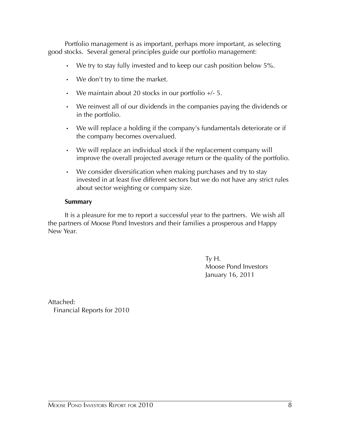Portfolio management is as important, perhaps more important, as selecting good stocks. Several general principles guide our portfolio management:

- We try to stay fully invested and to keep our cash position below 5%.
- We don't try to time the market.
- We maintain about 20 stocks in our portfolio  $+/- 5$ .
- We reinvest all of our dividends in the companies paying the dividends or in the portfolio.
- We will replace a holding if the company's fundamentals deteriorate or if the company becomes overvalued.
- We will replace an individual stock if the replacement company will improve the overall projected average return or the quality of the portfolio.
- We consider diversification when making purchases and try to stay invested in at least five different sectors but we do not have any strict rules about sector weighting or company size.

#### **Summary**

It is a pleasure for me to report a successful year to the partners. We wish all the partners of Moose Pond Investors and their families a prosperous and Happy New Year.

> Ty H. Moose Pond Investors January 16, 2011

Attached: Financial Reports for 2010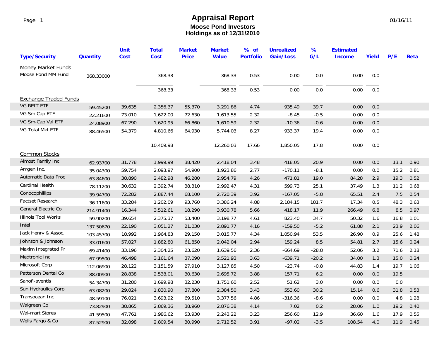Page 1

# **Moose Pond Investors Holdings as of 12/31/2010 Appraisal Report**

| <b>Type/Security</b>         | <b>Quantity</b> | <b>Unit</b><br><b>Cost</b> | <b>Total</b><br><b>Cost</b> | <b>Market</b><br><b>Price</b> | <b>Market</b><br><b>Value</b> | % of<br><b>Portfolio</b> | <b>Unrealized</b><br>Gain/Loss | %<br>G/L | <b>Estimated</b><br><b>Income</b> | <b>Yield</b> | P/E  | <b>Beta</b> |
|------------------------------|-----------------|----------------------------|-----------------------------|-------------------------------|-------------------------------|--------------------------|--------------------------------|----------|-----------------------------------|--------------|------|-------------|
| <b>Money Market Funds</b>    |                 |                            |                             |                               |                               |                          |                                |          |                                   |              |      |             |
| Moose Pond MM Fund           | 368.33000       |                            | 368.33                      |                               | 368.33                        | 0.53                     | 0.00                           | 0.0      | 0.00                              | 0.0          |      |             |
|                              |                 |                            | 368.33                      |                               | 368.33                        | 0.53                     | 0.00                           | $0.0\,$  | 0.00                              | 0.0          |      |             |
| <b>Exchange Traded Funds</b> |                 |                            |                             |                               |                               |                          |                                |          |                                   |              |      |             |
| <b>VG REIT ETF</b>           | 59.45200        | 39.635                     | 2,356.37                    | 55.370                        | 3,291.86                      | 4.74                     | 935.49                         | 39.7     | 0.00                              | $0.0\,$      |      |             |
| VG Sm-Cap ETF                | 22.21600        | 73.010                     | 1,622.00                    | 72.630                        | 1,613.55                      | 2.32                     | $-8.45$                        | $-0.5$   | 0.00                              | $0.0\,$      |      |             |
| VG Sm-Cap Val ETF            | 24.08900        | 67.290                     | 1,620.95                    | 66.860                        | 1,610.59                      | 2.32                     | $-10.36$                       | $-0.6$   | 0.00                              | $0.0\,$      |      |             |
| VG Total Mkt ETF             | 88.46500        | 54.379                     | 4,810.66                    | 64.930                        | 5,744.03                      | 8.27                     | 933.37                         | 19.4     | 0.00                              | $0.0\,$      |      |             |
|                              |                 |                            | 10,409.98                   |                               | 12,260.03                     | 17.66                    | 1,850.05                       | 17.8     | 0.00                              | $0.0\,$      |      |             |
| <b>Common Stocks</b>         |                 |                            |                             |                               |                               |                          |                                |          |                                   |              |      |             |
| Almost Family Inc            | 62.93700        | 31.778                     | 1,999.99                    | 38.420                        | 2,418.04                      | 3.48                     | 418.05                         | 20.9     | 0.00                              | 0.0          | 13.1 | 0.90        |
| Amgen Inc.                   | 35.04300        | 59.754                     | 2,093.97                    | 54.900                        | 1,923.86                      | 2.77                     | $-170.11$                      | $-8.1$   | 0.00                              | 0.0          | 15.2 | 0.81        |
| Automatic Data Proc          | 63.84600        | 38.890                     | 2,482.98                    | 46.280                        | 2,954.79                      | 4.26                     | 471.81                         | 19.0     | 84.28                             | 2.9          | 19.3 | 0.52        |
| Cardinal Health              | 78.11200        | 30.632                     | 2,392.74                    | 38.310                        | 2,992.47                      | 4.31                     | 599.73                         | 25.1     | 37.49                             | 1.3          | 11.2 | 0.68        |
| Conocophillips               | 39.94700        | 72.282                     | 2,887.44                    | 68.100                        | 2,720.39                      | 3.92                     | $-167.05$                      | $-5.8$   | 65.51                             | 2.4          | 7.5  | 0.54        |
| Factset Research             | 36.11600        | 33.284                     | 1,202.09                    | 93.760                        | 3,386.24                      | 4.88                     | 2,184.15                       | 181.7    | 17.34                             | 0.5          | 48.3 | 0.63        |
| General Electric Co          | 214.91400       | 16.344                     | 3,512.61                    | 18.290                        | 3,930.78                      | 5.66                     | 418.17                         | 11.9     | 266.49                            | 6.8          | 8.5  | 0.97        |
| <b>Illinois Tool Works</b>   | 59.90200        | 39.654                     | 2,375.37                    | 53.400                        | 3,198.77                      | 4.61                     | 823.40                         | 34.7     | 50.32                             | 1.6          | 16.8 | 1.01        |
| Intel                        | 137.50670       | 22.190                     | 3,051.27                    | 21.030                        | 2,891.77                      | 4.16                     | $-159.50$                      | $-5.2$   | 61.88                             | 2.1          | 23.9 | 2.06        |
| Jack Henry & Assoc.          | 103.45700       | 18.992                     | 1,964.83                    | 29.150                        | 3,015.77                      | 4.34                     | 1,050.94                       | 53.5     | 26.90                             | 0.9          | 25.6 | 1.48        |
| Johnson & Johnson            | 33.01600        | 57.027                     | 1,882.80                    | 61.850                        | 2,042.04                      | 2.94                     | 159.24                         | 8.5      | 54.81                             | 2.7          | 15.6 | 0.24        |
| Maxim Integrated Pr          | 69.41400        | 33.196                     | 2,304.25                    | 23.620                        | 1,639.56                      | 2.36                     | $-664.69$                      | $-28.8$  | 52.06                             | 3.2          | 71.6 | 2.18        |
| Medtronic Inc                | 67.99500        | 46.498                     | 3,161.64                    | 37.090                        | 2,521.93                      | 3.63                     | $-639.71$                      | $-20.2$  | 34.00                             | 1.3          | 15.0 | 0.24        |
| Microsoft Corp               | 112.06900       | 28.122                     | 3,151.59                    | 27.910                        | 3,127.85                      | 4.50                     | $-23.74$                       | $-0.8$   | 44.83                             | 1.4          | 19.7 | 1.06        |
| Patterson Dental Co          | 88.00900        | 28.838                     | 2,538.01                    | 30.630                        | 2,695.72                      | 3.88                     | 157.71                         | 6.2      | 0.00                              | 0.0          | 19.5 |             |
| Sanofi-aventis               | 54.34700        | 31.280                     | 1,699.98                    | 32.230                        | 1,751.60                      | 2.52                     | 51.62                          | $3.0\,$  | 0.00                              | $0.0\,$      | 0.0  |             |
| Sun Hydraulics Corp          | 63.08200        | 29.024                     | 1,830.90                    | 37.800                        | 2,384.50                      | 3.43                     | 553.60                         | 30.2     | 15.14                             | 0.6          | 31.8 | 0.53        |
| Transocean Inc               | 48.59100        | 76.021                     | 3,693.92                    | 69.510                        | 3,377.56                      | 4.86                     | $-316.36$                      | $-8.6$   | 0.00                              | $0.0\,$      | 4.8  | 1.28        |
| Walgreen Co                  | 73.82900        | 38.865                     | 2,869.36                    | 38.960                        | 2,876.38                      | 4.14                     | 7.02                           | 0.2      | 28.06                             | 1.0          | 19.2 | 0.40        |
| <b>Wal-mart Stores</b>       | 41.59500        | 47.761                     | 1,986.62                    | 53.930                        | 2,243.22                      | 3.23                     | 256.60                         | 12.9     | 36.60                             | 1.6          | 17.9 | 0.55        |
| Wells Fargo & Co             | 87.52900        | 32.098                     | 2,809.54                    | 30.990                        | 2,712.52                      | 3.91                     | $-97.02$                       | $-3.5$   | 108.54                            | 4.0          | 11.9 | 0.45        |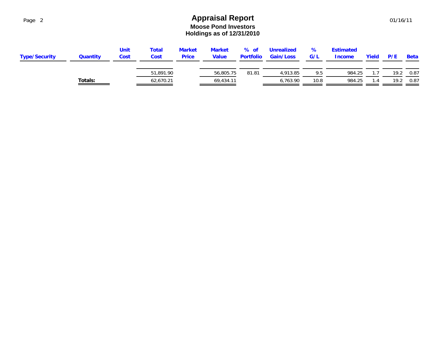Page 2

### **Moose Pond Investors Holdings as of 12/31/2010 Appraisal Report**

| <b>Type/Security</b> | Quantity        | Unit<br>Cost | <b>Total</b><br>Cost | <b>Market</b><br><b>Price</b> | <b>Market</b><br><b>Value</b>                                                                                                     | $%$ of<br><b>Portfolio</b> | <b>Unrealized</b><br>Gain/Loss | ℅<br>G/L | <b>Estimated</b><br><b>Income</b> | Yield | P/E  | <b>Beta</b> |
|----------------------|-----------------|--------------|----------------------|-------------------------------|-----------------------------------------------------------------------------------------------------------------------------------|----------------------------|--------------------------------|----------|-----------------------------------|-------|------|-------------|
|                      |                 |              | 51,891.90            |                               | 56,805.75                                                                                                                         | 81.81                      | 4,913.85                       | 9.5      | 984.25                            |       | 19.2 | 0.87        |
|                      | T <u>otals:</u> |              | 62,670.21            |                               | 69,434.11<br><u> 1980 - Johann Barnett, filosof amerikan bisa di sebagai personal dan bisa di sebagai personal dan bisa di se</u> |                            | 6.763.90                       | 10.8     | 984.25                            |       | 19.2 | 0.87        |
|                      |                 |              |                      |                               |                                                                                                                                   |                            |                                |          |                                   |       |      |             |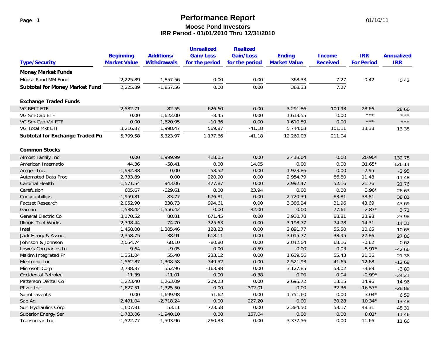**Moose Pond Investors** Page 1 **Performance Report Performance Report** 01/16/11 **IRR Period - 01/01/2010 Thru 12/31/2010**

| <b>Type/Security</b>                   | <b>Beginning</b><br><b>Market Value</b> | <b>Additions/</b><br><b>Withdrawals</b> | <b>Unrealized</b><br><b>Gain/Loss</b><br>for the period | <b>Realized</b><br>Gain/Loss<br>for the period | <b>Ending</b><br><b>Market Value</b> | <b>Income</b><br><b>Received</b> | <b>IRR</b><br><b>For Period</b> | <b>Annualized</b><br><b>IRR</b> |
|----------------------------------------|-----------------------------------------|-----------------------------------------|---------------------------------------------------------|------------------------------------------------|--------------------------------------|----------------------------------|---------------------------------|---------------------------------|
| <b>Money Market Funds</b>              |                                         |                                         |                                                         |                                                |                                      |                                  |                                 |                                 |
| Moose Pond MM Fund                     | 2,225.89                                | $-1,857.56$                             | 0.00                                                    | 0.00                                           | 368.33                               | 7.27                             | 0.42                            | 0.42                            |
| <b>Subtotal for Money Market Fund</b>  | 2,225.89                                | $-1,857.56$                             | 0.00                                                    | 0.00                                           | 368.33                               | 7.27                             |                                 |                                 |
| <b>Exchange Traded Funds</b>           |                                         |                                         |                                                         |                                                |                                      |                                  |                                 |                                 |
| <b>VG REIT ETF</b>                     | 2,582.71                                | 82.55                                   | 626.60                                                  | 0.00                                           | 3,291.86                             | 109.93                           | 28.66                           | 28.66                           |
| VG Sm-Cap ETF                          | 0.00                                    | 1,622.00                                | $-8.45$                                                 | 0.00                                           | 1,613.55                             | 0.00                             | $\star\star\star$               | $\star\star\star$               |
| VG Sm-Cap Val ETF                      | 0.00                                    | 1,620.95                                | $-10.36$                                                | 0.00                                           | 1,610.59                             | 0.00                             | $\star\star\star$               | $***$                           |
| <b>VG Total Mkt ETF</b>                | 3,216.87                                | 1,998.47                                | 569.87                                                  | $-41.18$                                       | 5,744.03                             | 101.11                           | 13.38                           | 13.38                           |
| <b>Subtotal for Exchange Traded Fu</b> | 5,799.58                                | 5,323.97                                | 1,177.66                                                | $-41.18$                                       | 12,260.03                            | 211.04                           |                                 |                                 |
| <b>Common Stocks</b>                   |                                         |                                         |                                                         |                                                |                                      |                                  |                                 |                                 |
| Almost Family Inc                      | 0.00                                    | 1,999.99                                | 418.05                                                  | 0.00                                           | 2,418.04                             | 0.00                             | 20.90*                          | 132.78                          |
| American Internatio                    | 44.36                                   | $-58.41$                                | 0.00                                                    | 14.05                                          | 0.00                                 | 0.00                             | $31.65*$                        | 126.14                          |
| Amgen Inc.                             | 1,982.38                                | 0.00                                    | $-58.52$                                                | 0.00                                           | 1,923.86                             | 0.00                             | $-2.95$                         | $-2.95$                         |
| Automated Data Proc                    | 2,733.89                                | 0.00                                    | 220.90                                                  | 0.00                                           | 2,954.79                             | 86.80                            | 11.48                           | 11.48                           |
| <b>Cardinal Health</b>                 | 1,571.54                                | 943.06                                  | 477.87                                                  | 0.00                                           | 2,992.47                             | 52.16                            | 21.76                           | 21.76                           |
| Carefusion                             | 605.67                                  | $-629.61$                               | 0.00                                                    | 23.94                                          | 0.00                                 | 0.00                             | $3.96*$                         | 26.63                           |
| Conocophillips                         | 1,959.81                                | 83.77                                   | 676.81                                                  | 0.00                                           | 2,720.39                             | 83.81                            | 38.81                           | 38.81                           |
| <b>Factset Research</b>                | 2,052.90                                | 338.73                                  | 994.61                                                  | 0.00                                           | 3,386.24                             | 31.96                            | 43.69                           | 43.69                           |
| Garmin                                 | 1,588.42                                | $-1,556.42$                             | 0.00                                                    | $-32.00$                                       | 0.00                                 | 77.61                            | $2.87*$                         | 3.71                            |
| General Electric Co                    | 3,170.52                                | 88.81                                   | 671.45                                                  | 0.00                                           | 3,930.78                             | 88.81                            | 23.98                           | 23.98                           |
| <b>Illinois Tool Works</b>             | 2,798.44                                | 74.70                                   | 325.63                                                  | 0.00                                           | 3,198.77                             | 74.78                            | 14.31                           | 14.31                           |
| Intel                                  | 1,458.08                                | 1,305.46                                | 128.23                                                  | 0.00                                           | 2,891.77                             | 55.50                            | 10.65                           | 10.65                           |
| Jack Henry & Assoc.                    | 2,358.75                                | 38.91                                   | 618.11                                                  | 0.00                                           | 3,015.77                             | 38.95                            | 27.86                           | 27.86                           |
| Johnson & Johnson                      | 2,054.74                                | 68.10                                   | $-80.80$                                                | 0.00                                           | 2,042.04                             | 68.16                            | $-0.62$                         | $-0.62$                         |
| Lowe's Companies In                    | 9.64                                    | $-9.05$                                 | 0.00                                                    | $-0.59$                                        | 0.00                                 | 0.03                             | $-5.91*$                        | $-42.66$                        |
| Maxim Integrated Pr                    | 1,351.04                                | 55.40                                   | 233.12                                                  | 0.00                                           | 1,639.56                             | 55.43                            | 21.36                           | 21.36                           |
| Medtronic Inc                          | 1,562.87                                | 1,308.58                                | $-349.52$                                               | 0.00                                           | 2,521.93                             | 41.65                            | $-12.68$                        | $-12.68$                        |
| Microsoft Corp                         | 2,738.87                                | 552.96                                  | $-163.98$                                               | 0.00                                           | 3,127.85                             | 53.02                            | $-3.89$                         | $-3.89$                         |
| Occidental Petroleu                    | 11.39                                   | $-11.01$                                | 0.00                                                    | $-0.38$                                        | 0.00                                 | 0.04                             | $-2.99*$                        | $-24.21$                        |
| Patterson Dental Co                    | 1,223.40                                | 1,263.09                                | 209.23                                                  | 0.00                                           | 2,695.72                             | 13.15                            | 14.96                           | 14.96                           |
| Pfizer Inc.                            | 1,627.51                                | $-1,325.50$                             | 0.00                                                    | $-302.01$                                      | 0.00                                 | 32.36                            | $-16.57*$                       | $-28.88$                        |
| Sanofi-aventis                         | 0.00                                    | 1,699.98                                | 51.62                                                   | 0.00                                           | 1,751.60                             | 0.00                             | $3.04*$                         | 6.59                            |
| Sap Ag                                 | 2,491.04                                | $-2,718.24$                             | 0.00                                                    | 227.20                                         | 0.00                                 | 30.28                            | $10.34*$                        | 13.48                           |
| Sun Hydraulics Corp                    | 1,607.81                                | 53.11                                   | 723.58                                                  | 0.00                                           | 2,384.50                             | 53.17                            | 48.31                           | 48.31                           |
| Superior Energy Ser                    | 1,783.06                                | $-1,940.10$                             | 0.00                                                    | 157.04                                         | 0.00                                 | 0.00                             | $8.81*$                         | 11.46                           |
| Transocean Inc                         | 1,522.77                                | 1,593.96                                | 260.83                                                  | 0.00                                           | 3,377.56                             | 0.00                             | 11.66                           | 11.66                           |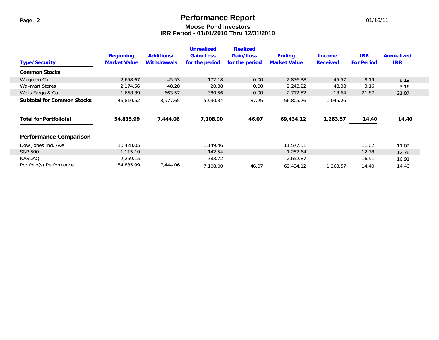**Moose Pond Investors** Page 2 **Performance Report Performance Report** 01/16/11 **IRR Period - 01/01/2010 Thru 12/31/2010**

| <b>Type/Security</b>              | <b>Beginning</b><br><b>Market Value</b> | Additions/<br><b>Withdrawals</b> | <b>Unrealized</b><br>Gain/Loss<br>for the period | <b>Realized</b><br>Gain/Loss<br>for the period | <b>Ending</b><br><b>Market Value</b> | <b>Income</b><br><b>Received</b> | <b>IRR</b><br><b>For Period</b> | <b>Annualized</b><br><b>IRR</b> |
|-----------------------------------|-----------------------------------------|----------------------------------|--------------------------------------------------|------------------------------------------------|--------------------------------------|----------------------------------|---------------------------------|---------------------------------|
| <b>Common Stocks</b>              |                                         |                                  |                                                  |                                                |                                      |                                  |                                 |                                 |
| Walgreen Co                       | 2,658.67                                | 45.53                            | 172.18                                           | 0.00                                           | 2,876.38                             | 45.57                            | 8.19                            | 8.19                            |
| Wal-mart Stores                   | 2,174.56                                | 48.28                            | 20.38                                            | 0.00                                           | 2,243.22                             | 48.38                            | 3.16                            | 3.16                            |
| Wells Fargo & Co                  | 1,668.39                                | 663.57                           | 380.56                                           | 0.00                                           | 2,712.52                             | 13.64                            | 21.87                           | 21.87                           |
| <b>Subtotal for Common Stocks</b> | 46,810.52                               | 3.977.65                         | 5,930.34                                         | 87.25                                          | 56,805.76                            | 1,045.26                         |                                 |                                 |
| Total for Portfolio(s)            | 54,835.99                               | 7,444.06                         | 7,108.00                                         | 46.07                                          | 69,434.12                            | 1,263.57                         | 14.40                           | 14.40                           |
| <b>Performance Comparison</b>     |                                         |                                  |                                                  |                                                |                                      |                                  |                                 |                                 |
| Dow Jones Ind. Ave                | 10.428.05                               |                                  | 1.149.46                                         |                                                | 11,577.51                            |                                  | 11.02                           | 11.02                           |
| S&P 500                           | 1,115.10                                |                                  | 142.54                                           |                                                | 1,257.64                             |                                  | 12.78                           | 12.78                           |
| <b>NASDAQ</b>                     | 2,269.15                                |                                  | 383.72                                           |                                                | 2,652.87                             |                                  | 16.91                           | 16.91                           |
| Portfolio(s) Performance          | 54,835.99                               | 7,444.06                         | 7,108.00                                         | 46.07                                          | 69,434.12                            | 1,263.57                         | 14.40                           | 14.40                           |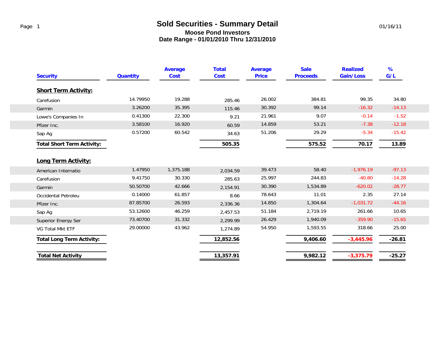# **Moose Pond Investors Date Range - 01/01/2010 Thru 12/31/2010 Sold Securities - Summary Detail**

| <b>Security</b>                   | <b>Quantity</b> | <b>Average</b><br><b>Cost</b> | <b>Total</b><br><b>Cost</b> | <b>Average</b><br><b>Price</b> | <b>Sale</b><br><b>Proceeds</b> | <b>Realized</b><br><b>Gain/Loss</b> | $\%$<br>G/L |
|-----------------------------------|-----------------|-------------------------------|-----------------------------|--------------------------------|--------------------------------|-------------------------------------|-------------|
| <b>Short Term Activity:</b>       |                 |                               |                             |                                |                                |                                     |             |
| Carefusion                        | 14.79950        | 19.288                        | 285.46                      | 26.002                         | 384.81                         | 99.35                               | 34.80       |
| Garmin                            | 3.26200         | 35.395                        | 115.46                      | 30.392                         | 99.14                          | $-16.32$                            | $-14.13$    |
| Lowe's Companies In               | 0.41300         | 22.300                        | 9.21                        | 21.961                         | 9.07                           | $-0.14$                             | $-1.52$     |
| Pfizer Inc.                       | 3.58100         | 16.920                        | 60.59                       | 14.859                         | 53.21                          | $-7.38$                             | $-12.18$    |
| Sap Ag                            | 0.57200         | 60.542                        | 34.63                       | 51.206                         | 29.29                          | $-5.34$                             | $-15.42$    |
| <b>Total Short Term Activity:</b> |                 |                               | 505.35                      |                                | 575.52                         | 70.17                               | 13.89       |
| Long Term Activity:               |                 |                               |                             |                                |                                |                                     |             |
| American Internatio               | 1.47950         | 1,375.188                     | 2,034.59                    | 39.473                         | 58.40                          | $-1,976.19$                         | $-97.13$    |
| Carefusion                        | 9.41750         | 30.330                        | 285.63                      | 25.997                         | 244.83                         | $-40.80$                            | $-14.28$    |
| Garmin                            | 50.50700        | 42.666                        | 2,154.91                    | 30.390                         | 1,534.89                       | $-620.02$                           | $-28.77$    |
| Occidental Petroleu               | 0.14000         | 61.857                        | 8.66                        | 78.643                         | 11.01                          | 2.35                                | 27.14       |
| Pfizer Inc.                       | 87.85700        | 26.593                        | 2,336.36                    | 14.850                         | 1,304.64                       | $-1,031.72$                         | $-44.16$    |
| Sap Ag                            | 53.12600        | 46.259                        | 2,457.53                    | 51.184                         | 2,719.19                       | 261.66                              | 10.65       |
| Superior Energy Ser               | 73.40700        | 31.332                        | 2,299.99                    | 26.429                         | 1,940.09                       | $-359.90$                           | $-15.65$    |
| VG Total Mkt ETF                  | 29.00000        | 43.962                        | 1,274.89                    | 54.950                         | 1,593.55                       | 318.66                              | 25.00       |
| <b>Total Long Term Activity:</b>  |                 |                               | 12,852.56                   |                                | 9,406.60                       | $-3,445.96$                         | $-26.81$    |
|                                   |                 |                               | 13,357.91                   |                                | 9,982.12                       | $-3,375.79$                         | $-25.27$    |